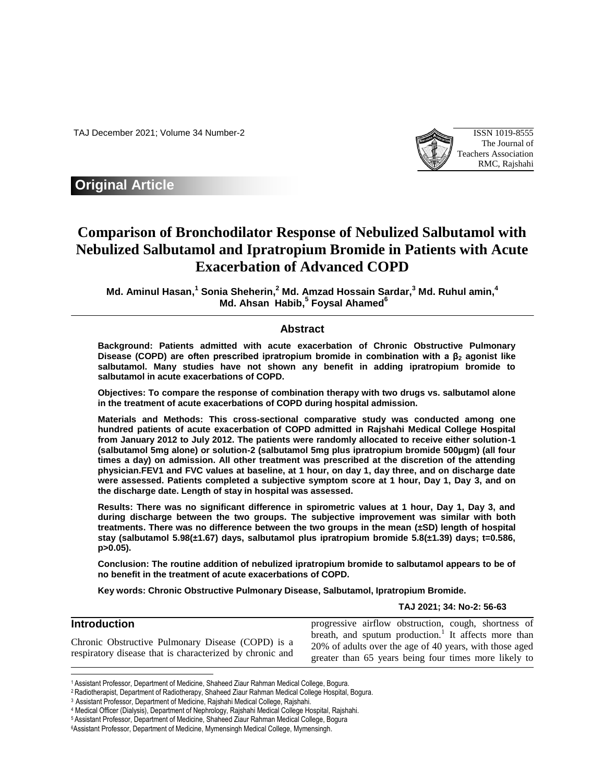TAJ December 2021; Volume 34 Number-2 ISSN 1019-8555



## **Original Article**

# **Comparison of Bronchodilator Response of Nebulized Salbutamol with Nebulized Salbutamol and Ipratropium Bromide in Patients with Acute Exacerbation of Advanced COPD**

**Md. Aminul Hasan, 1 Sonia Sheherin, <sup>2</sup> Md. Amzad Hossain Sardar, <sup>3</sup> Md. Ruhul amin, 4 Md. Ahsan Habib, 5 Foysal Ahamed<sup>6</sup>**

### **Abstract**

**Background: Patients admitted with acute exacerbation of Chronic Obstructive Pulmonary Disease (COPD) are often prescribed ipratropium bromide in combination with a β<sup>2</sup> agonist like salbutamol. Many studies have not shown any benefit in adding ipratropium bromide to salbutamol in acute exacerbations of COPD.** 

**Objectives: To compare the response of combination therapy with two drugs vs. salbutamol alone in the treatment of acute exacerbations of COPD during hospital admission.** 

**Materials and Methods: This cross-sectional comparative study was conducted among one hundred patients of acute exacerbation of COPD admitted in Rajshahi Medical College Hospital from January 2012 to July 2012. The patients were randomly allocated to receive either solution-1 (salbutamol 5mg alone) or solution-2 (salbutamol 5mg plus ipratropium bromide 500µgm) (all four times a day) on admission. All other treatment was prescribed at the discretion of the attending physician.FEV1 and FVC values at baseline, at 1 hour, on day 1, day three, and on discharge date were assessed. Patients completed a subjective symptom score at 1 hour, Day 1, Day 3, and on the discharge date. Length of stay in hospital was assessed.**

**Results: There was no significant difference in spirometric values at 1 hour, Day 1, Day 3, and during discharge between the two groups. The subjective improvement was similar with both treatments. There was no difference between the two groups in the mean (±SD) length of hospital stay (salbutamol 5.98(±1.67) days, salbutamol plus ipratropium bromide 5.8(±1.39) days; t=0.586, p>0.05).** 

**Conclusion: The routine addition of nebulized ipratropium bromide to salbutamol appears to be of no benefit in the treatment of acute exacerbations of COPD.** 

**Key words: Chronic Obstructive Pulmonary Disease, Salbutamol, Ipratropium Bromide.**

**TAJ 2021; 34: No-2: 56-63**

| <b>Introduction</b>                                                                                           | progressive airflow obstruction, cough, shortness of                                                                                                                                 |
|---------------------------------------------------------------------------------------------------------------|--------------------------------------------------------------------------------------------------------------------------------------------------------------------------------------|
| Chronic Obstructive Pulmonary Disease (COPD) is a<br>respiratory disease that is characterized by chronic and | breath, and sputum production. <sup>1</sup> It affects more than<br>20% of adults over the age of 40 years, with those aged<br>greater than 65 years being four times more likely to |

<sup>1</sup>Assistant Professor, Department of Medicine, Shaheed Ziaur Rahman Medical College, Bogura.

 $\overline{\phantom{a}}$ 

<sup>2</sup>Radiotherapist, Department of Radiotherapy, Shaheed Ziaur Rahman Medical College Hospital, Bogura.

<sup>3</sup>Assistant Professor, Department of Medicine, Rajshahi Medical College, Rajshahi.

<sup>4</sup> Medical Officer (Dialysis), Department of Nephrology, Rajshahi Medical College Hospital, Rajshahi.

<sup>5</sup>Assistant Professor, Department of Medicine, Shaheed Ziaur Rahman Medical College, Bogura

<sup>6</sup>Assistant Professor, Department of Medicine, Mymensingh Medical College, Mymensingh.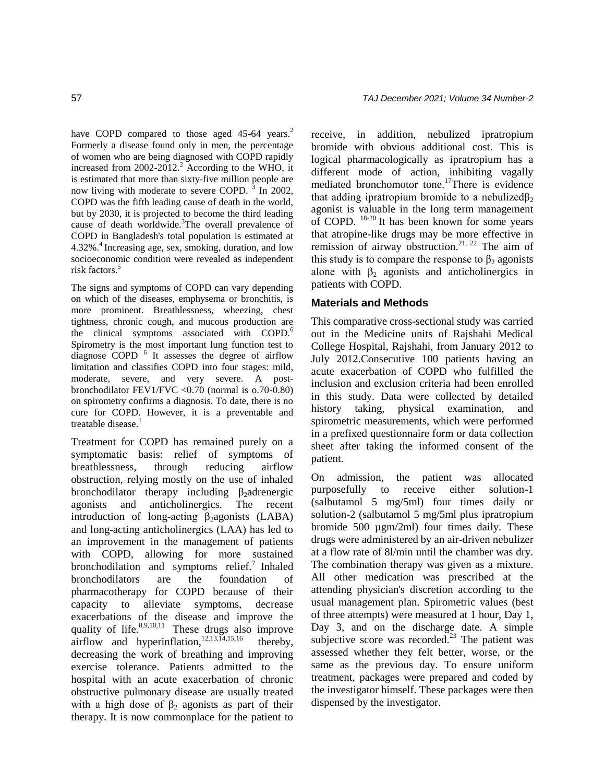have COPD compared to those aged 45-64 years.<sup>2</sup> Formerly a disease found only in men, the percentage of women who are being diagnosed with COPD rapidly increased from  $2002-2012$ .<sup>2</sup> According to the WHO, it is estimated that more than sixty-five million people are now living with moderate to severe COPD.  $3 \text{ In } 2002$ , COPD was the fifth leading cause of death in the world, but by 2030, it is projected to become the third leading cause of death worldwide.<sup>3</sup>The overall prevalence of COPD in Bangladesh's total population is estimated at 4.32%<sup>4</sup> Increasing age, sex, smoking, duration, and low socioeconomic condition were revealed as independent risk factors.<sup>5</sup>

The signs and symptoms of COPD can vary depending on which of the diseases, emphysema or bronchitis, is more prominent. Breathlessness, wheezing, chest tightness, chronic cough, and mucous production are the clinical symptoms associated with COPD.<sup>6</sup> Spirometry is the most important lung function test to diagnose COPD<sup>6</sup> It assesses the degree of airflow limitation and classifies COPD into four stages: mild, moderate, severe, and very severe. A postbronchodilator FEV1/FVC <0.70 (normal is o.70-0.80) on spirometry confirms a diagnosis. To date, there is no cure for COPD. However, it is a preventable and treatable disease.<sup>1</sup>

Treatment for COPD has remained purely on a symptomatic basis: relief of symptoms of breathlessness, through reducing airflow obstruction, relying mostly on the use of inhaled bronchodilator therapy including  $\beta_2$ adrenergic agonists and anticholinergics. The recent introduction of long-acting  $\beta_2$ agonists (LABA) and long-acting anticholinergics (LAA) has led to an improvement in the management of patients with COPD, allowing for more sustained bronchodilation and symptoms relief.<sup>7</sup> Inhaled bronchodilators are the foundation of pharmacotherapy for COPD because of their capacity to alleviate symptoms, decrease exacerbations of the disease and improve the quality of life. $8,9,10,11$  These drugs also improve airflow and hyperinflation,<sup>12,13,14,15,16</sup> thereby, decreasing the work of breathing and improving exercise tolerance. Patients admitted to the hospital with an acute exacerbation of chronic obstructive pulmonary disease are usually treated with a high dose of  $\beta_2$  agonists as part of their therapy. It is now commonplace for the patient to

receive, in addition, nebulized ipratropium bromide with obvious additional cost. This is logical pharmacologically as ipratropium has a different mode of action, inhibiting vagally mediated bronchomotor tone.<sup>17</sup>There is evidence that adding ipratropium bromide to a nebulized $\beta_2$ agonist is valuable in the long term management of COPD. 18-20 It has been known for some years that atropine-like drugs may be more effective in remission of airway obstruction.<sup>21, 22</sup> The aim of this study is to compare the response to  $\beta_2$  agonists alone with  $\beta_2$  agonists and anticholinergics in patients with COPD.

## **Materials and Methods**

This comparative cross-sectional study was carried out in the Medicine units of Rajshahi Medical College Hospital, Rajshahi, from January 2012 to July 2012.Consecutive 100 patients having an acute exacerbation of COPD who fulfilled the inclusion and exclusion criteria had been enrolled in this study. Data were collected by detailed history taking, physical examination, and spirometric measurements, which were performed in a prefixed questionnaire form or data collection sheet after taking the informed consent of the patient.

On admission, the patient was allocated purposefully to receive either solution-1 (salbutamol 5 mg/5ml) four times daily or solution-2 (salbutamol 5 mg/5ml plus ipratropium bromide 500 µgm/2ml) four times daily. These drugs were administered by an air-driven nebulizer at a flow rate of 8l/min until the chamber was dry. The combination therapy was given as a mixture. All other medication was prescribed at the attending physician's discretion according to the usual management plan. Spirometric values (best of three attempts) were measured at 1 hour, Day 1, Day 3, and on the discharge date. A simple subjective score was recorded. $23$  The patient was assessed whether they felt better, worse, or the same as the previous day. To ensure uniform treatment, packages were prepared and coded by the investigator himself. These packages were then dispensed by the investigator.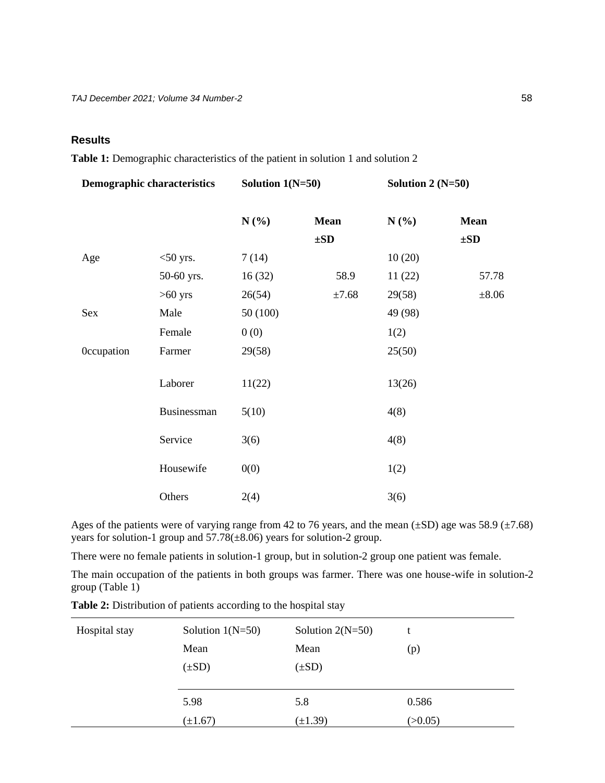## **Results**

**Table 1:** Demographic characteristics of the patient in solution 1 and solution 2

| <b>Demographic characteristics</b> |             | Solution $1(N=50)$ |             | Solution 2 $(N=50)$ |             |
|------------------------------------|-------------|--------------------|-------------|---------------------|-------------|
|                                    |             | $N(\%)$            | <b>Mean</b> | $N(\%)$             | <b>Mean</b> |
|                                    |             |                    | $\pm SD$    |                     | $\pm SD$    |
| Age                                | $<$ 50 yrs. | 7(14)              |             | 10(20)              |             |
|                                    | 50-60 yrs.  | 16(32)             | 58.9        | 11(22)              | 57.78       |
|                                    | $>60$ yrs   | 26(54)             | ±7.68       | 29(58)              | $\pm 8.06$  |
| Sex                                | Male        | 50 (100)           |             | 49 (98)             |             |
|                                    | Female      | 0(0)               |             | 1(2)                |             |
| <b>Occupation</b>                  | Farmer      | 29(58)             |             | 25(50)              |             |
|                                    | Laborer     | 11(22)             |             | 13(26)              |             |
|                                    | Businessman | 5(10)              |             | 4(8)                |             |
|                                    | Service     | 3(6)               |             | 4(8)                |             |
|                                    | Housewife   | 0(0)               |             | 1(2)                |             |
|                                    | Others      | 2(4)               |             | 3(6)                |             |

Ages of the patients were of varying range from 42 to 76 years, and the mean  $(\pm SD)$  age was 58.9  $(\pm 7.68)$ years for solution-1 group and 57.78(±8.06) years for solution-2 group.

There were no female patients in solution-1 group, but in solution-2 group one patient was female.

The main occupation of the patients in both groups was farmer. There was one house-wife in solution-2 group (Table 1)

|  | <b>Table 2:</b> Distribution of patients according to the hospital stay |  |  |  |  |
|--|-------------------------------------------------------------------------|--|--|--|--|
|  |                                                                         |  |  |  |  |

| Hospital stay | Solution $1(N=50)$ | Solution $2(N=50)$ |         |
|---------------|--------------------|--------------------|---------|
|               | Mean               | Mean               | (p)     |
|               | $(\pm SD)$         | $(\pm SD)$         |         |
|               |                    |                    |         |
|               | 5.98               | 5.8                | 0.586   |
|               | $(\pm 1.67)$       | $(\pm 1.39)$       | (>0.05) |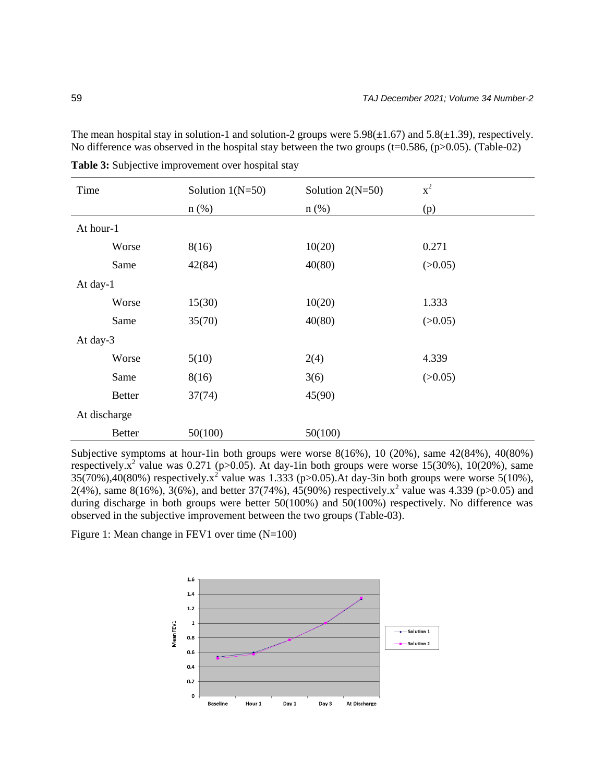The mean hospital stay in solution-1 and solution-2 groups were  $5.98(\pm 1.67)$  and  $5.8(\pm 1.39)$ , respectively. No difference was observed in the hospital stay between the two groups (t=0.586, (p>0.05). (Table-02)

| Time          | Solution $1(N=50)$ | Solution $2(N=50)$ | $x^2$   |
|---------------|--------------------|--------------------|---------|
|               | $n$ (%)            | $n$ (%)            | (p)     |
| At hour-1     |                    |                    |         |
| Worse         | 8(16)              | 10(20)             | 0.271   |
| Same          | 42(84)             | 40(80)             | (>0.05) |
| At day-1      |                    |                    |         |
| Worse         | 15(30)             | 10(20)             | 1.333   |
| Same          | 35(70)             | 40(80)             | (>0.05) |
| At day-3      |                    |                    |         |
| Worse         | 5(10)              | 2(4)               | 4.339   |
| Same          | 8(16)              | 3(6)               | (>0.05) |
| <b>Better</b> | 37(74)             | 45(90)             |         |
| At discharge  |                    |                    |         |
| <b>Better</b> | 50(100)            | 50(100)            |         |

Table 3: Subjective improvement over hospital stay

Subjective symptoms at hour-1in both groups were worse 8(16%), 10 (20%), same 42(84%), 40(80%) respectively. $x^2$  value was 0.271 (p>0.05). At day-1in both groups were worse 15(30%), 10(20%), same  $35(70\%)$ ,  $40(80\%)$  respectively. $x^2$  value was 1.333 (p>0.05). At day-3in both groups were worse 5(10%), 2(4%), same 8(16%), 3(6%), and better 37(74%), 45(90%) respectively.  $x^2$  value was 4.339 (p>0.05) and during discharge in both groups were better 50(100%) and 50(100%) respectively. No difference was observed in the subjective improvement between the two groups (Table-03).

Figure 1: Mean change in FEV1 over time (N=100)

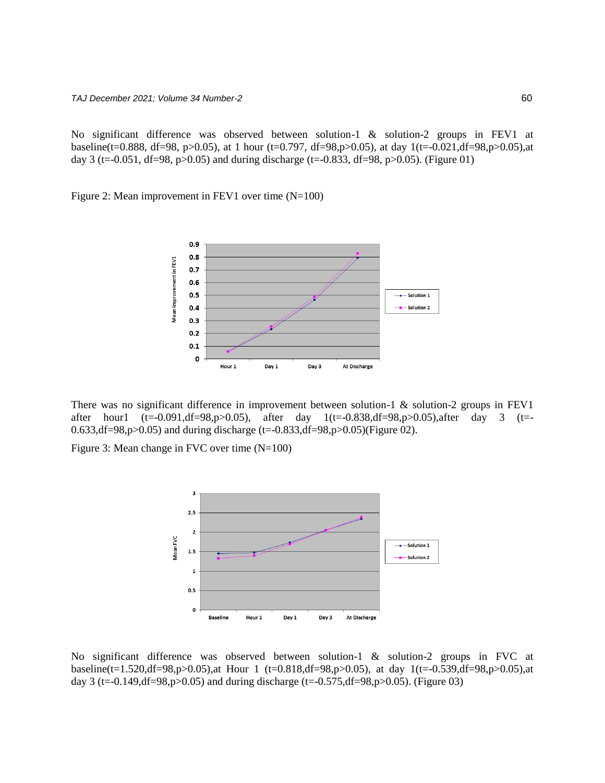No significant difference was observed between solution-1 & solution-2 groups in FEV1 at baseline(t=0.888, df=98, p>0.05), at 1 hour (t=0.797, df=98,p>0.05), at day 1(t=-0.021,df=98,p>0.05),at day 3 (t=-0.051, df=98, p>0.05) and during discharge (t=-0.833, df=98, p>0.05). (Figure 01)

Figure 2: Mean improvement in FEV1 over time (N=100)



There was no significant difference in improvement between solution-1 & solution-2 groups in FEV1 after hour1 (t=-0.091,df=98,p>0.05), after day 1(t=-0.838,df=98,p>0.05),after day 3 (t=- 0.633,df=98,p>0.05) and during discharge (t=-0.833,df=98,p>0.05)(Figure 02).

Figure 3: Mean change in FVC over time (N=100)



No significant difference was observed between solution-1 & solution-2 groups in FVC at baseline(t=1.520,df=98,p>0.05),at Hour 1 (t=0.818,df=98,p>0.05), at day 1(t=-0.539,df=98,p>0.05),at day 3 (t=-0.149,df=98,p>0.05) and during discharge (t=-0.575,df=98,p>0.05). (Figure 03)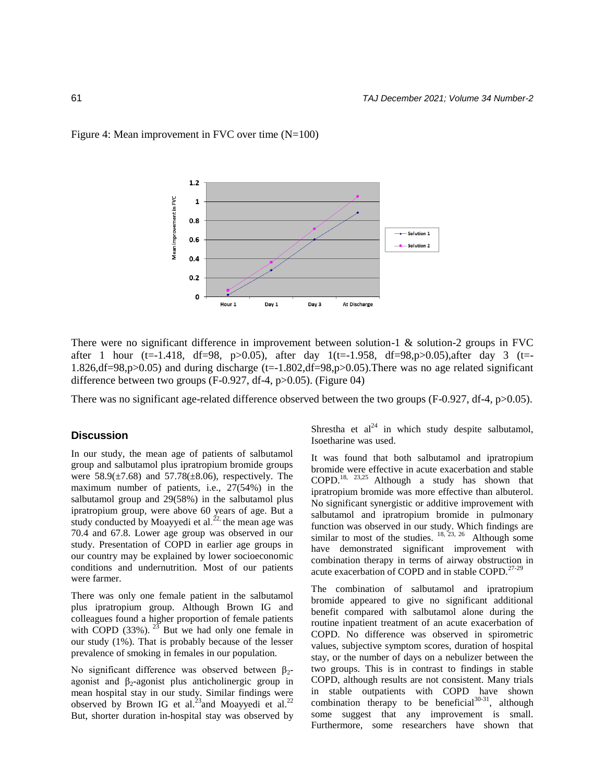#### Figure 4: Mean improvement in FVC over time (N=100)



There were no significant difference in improvement between solution-1 & solution-2 groups in FVC after 1 hour (t=-1.418, df=98, p>0.05), after day  $1(t=1.958, df=98, p>0.05)$ , after day 3 (t=-1.826,df=98,p>0.05) and during discharge (t=-1.802,df=98,p>0.05).There was no age related significant difference between two groups (F-0.927, df-4, p>0.05). (Figure 04)

There was no significant age-related difference observed between the two groups (F-0.927, df-4, p>0.05).

#### **Discussion**

In our study, the mean age of patients of salbutamol group and salbutamol plus ipratropium bromide groups were  $58.9(\pm 7.68)$  and  $57.78(\pm 8.06)$ , respectively. The maximum number of patients, i.e., 27(54%) in the salbutamol group and 29(58%) in the salbutamol plus ipratropium group, were above 60 years of age. But a study conducted by Moayyedi et al.<sup>22,</sup> the mean age was 70.4 and 67.8. Lower age group was observed in our study. Presentation of COPD in earlier age groups in our country may be explained by lower socioeconomic conditions and undernutrition. Most of our patients were farmer.

There was only one female patient in the salbutamol plus ipratropium group. Although Brown IG and colleagues found a higher proportion of female patients with COPD  $(33\%)$ . <sup>23</sup> But we had only one female in our study (1%). That is probably because of the lesser prevalence of smoking in females in our population.

No significant difference was observed between  $β_2$ agonist and  $\beta_2$ -agonist plus anticholinergic group in mean hospital stay in our study. Similar findings were observed by Brown IG et al.<sup>23</sup> and Moayyedi et al.<sup>22</sup> But, shorter duration in-hospital stay was observed by

Shrestha et  $al^{24}$  in which study despite salbutamol, Isoetharine was used.

It was found that both salbutamol and ipratropium bromide were effective in acute exacerbation and stable COPD.18, 23,25 Although a study has shown that ipratropium bromide was more effective than albuterol. No significant synergistic or additive improvement with salbutamol and ipratropium bromide in pulmonary function was observed in our study. Which findings are similar to most of the studies.  $18, 23, 26$  Although some have demonstrated significant improvement with combination therapy in terms of airway obstruction in acute exacerbation of COPD and in stable COPD.<sup>27-29</sup>

The combination of salbutamol and ipratropium bromide appeared to give no significant additional benefit compared with salbutamol alone during the routine inpatient treatment of an acute exacerbation of COPD. No difference was observed in spirometric values, subjective symptom scores, duration of hospital stay, or the number of days on a nebulizer between the two groups. This is in contrast to findings in stable COPD, although results are not consistent. Many trials in stable outpatients with COPD have shown combination therapy to be beneficial  $30-31$ , although some suggest that any improvement is small. Furthermore, some researchers have shown that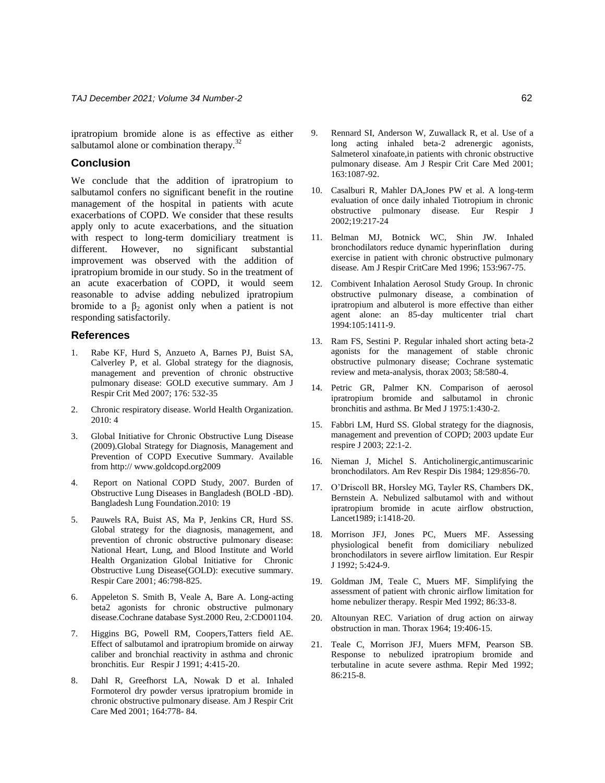ipratropium bromide alone is as effective as either salbutamol alone or combination therapy.<sup>32</sup>

### **Conclusion**

We conclude that the addition of ipratropium to salbutamol confers no significant benefit in the routine management of the hospital in patients with acute exacerbations of COPD. We consider that these results apply only to acute exacerbations, and the situation with respect to long-term domiciliary treatment is different. However, no significant substantial improvement was observed with the addition of ipratropium bromide in our study. So in the treatment of an acute exacerbation of COPD, it would seem reasonable to advise adding nebulized ipratropium bromide to a  $\beta_2$  agonist only when a patient is not responding satisfactorily.

#### **References**

- 1. Rabe KF, Hurd S, Anzueto A, Barnes PJ, Buist SA, Calverley P, et al. Global strategy for the diagnosis, management and prevention of chronic obstructive pulmonary disease: GOLD executive summary. Am J Respir Crit Med 2007; 176: 532-35
- 2. Chronic respiratory disease. World Health Organization. 2010: 4
- 3. Global Initiative for Chronic Obstructive Lung Disease (2009).Global Strategy for Diagnosis, Management and Prevention of COPD Executive Summary. Available from http:// www.goldcopd.org2009
- 4. Report on National COPD Study, 2007. Burden of Obstructive Lung Diseases in Bangladesh (BOLD -BD). Bangladesh Lung Foundation.2010: 19
- 5. Pauwels RA, Buist AS, Ma P, Jenkins CR, Hurd SS. Global strategy for the diagnosis, management, and prevention of chronic obstructive pulmonary disease: National Heart, Lung, and Blood Institute and World Health Organization Global Initiative for Chronic Obstructive Lung Disease(GOLD): executive summary. Respir Care 2001; 46:798-825.
- 6. Appeleton S. Smith B, Veale A, Bare A. Long-acting beta2 agonists for chronic obstructive pulmonary disease.Cochrane database Syst.2000 Reu, 2:CD001104.
- Higgins BG, Powell RM, Coopers,Tatters field AE. Effect of salbutamol and ipratropium bromide on airway caliber and bronchial reactivity in asthma and chronic bronchitis. Eur Respir J 1991; 4:415-20.
- 8. Dahl R, Greefhorst LA, Nowak D et al. Inhaled Formoterol dry powder versus ipratropium bromide in chronic obstructive pulmonary disease. Am J Respir Crit Care Med 2001; 164:778- 84.
- 9. Rennard SI, Anderson W, Zuwallack R, et al. Use of a long acting inhaled beta-2 adrenergic agonists, Salmeterol xinafoate,in patients with chronic obstructive pulmonary disease. Am J Respir Crit Care Med 2001; 163:1087-92.
- 10. Casalburi R, Mahler DA,Jones PW et al. A long-term evaluation of once daily inhaled Tiotropium in chronic obstructive pulmonary disease. Eur Respir J 2002;19:217-24
- 11. Belman MJ, Botnick WC, Shin JW. Inhaled bronchodilators reduce dynamic hyperinflation during exercise in patient with chronic obstructive pulmonary disease. Am J Respir CritCare Med 1996; 153:967-75.
- 12. Combivent Inhalation Aerosol Study Group. In chronic obstructive pulmonary disease, a combination of ipratropium and albuterol is more effective than either agent alone: an 85-day multicenter trial chart 1994:105:1411-9.
- 13. Ram FS, Sestini P. Regular inhaled short acting beta-2 agonists for the management of stable chronic obstructive pulmonary disease; Cochrane systematic review and meta-analysis, thorax 2003; 58:580-4.
- 14. Petric GR, Palmer KN. Comparison of aerosol ipratropium bromide and salbutamol in chronic bronchitis and asthma. Br Med J 1975:1:430-2.
- 15. Fabbri LM, Hurd SS. Global strategy for the diagnosis, management and prevention of COPD; 2003 update Eur respire J 2003; 22:1-2.
- 16. Nieman J, Michel S. Anticholinergic,antimuscarinic bronchodilators. Am Rev Respir Dis 1984; 129:856-70.
- 17. O'Driscoll BR, Horsley MG, Tayler RS, Chambers DK, Bernstein A. Nebulized salbutamol with and without ipratropium bromide in acute airflow obstruction, Lancet1989; i:1418-20.
- 18. Morrison JFJ, Jones PC, Muers MF. Assessing physiological benefit from domiciliary nebulized bronchodilators in severe airflow limitation. Eur Respir J 1992; 5:424-9.
- 19. Goldman JM, Teale C, Muers MF. Simplifying the assessment of patient with chronic airflow limitation for home nebulizer therapy. Respir Med 1992; 86:33-8.
- 20. Altounyan REC. Variation of drug action on airway obstruction in man. Thorax 1964; 19:406-15.
- 21. Teale C, Morrison JFJ, Muers MFM, Pearson SB. Response to nebulized ipratropium bromide and terbutaline in acute severe asthma. Repir Med 1992; 86:215-8.